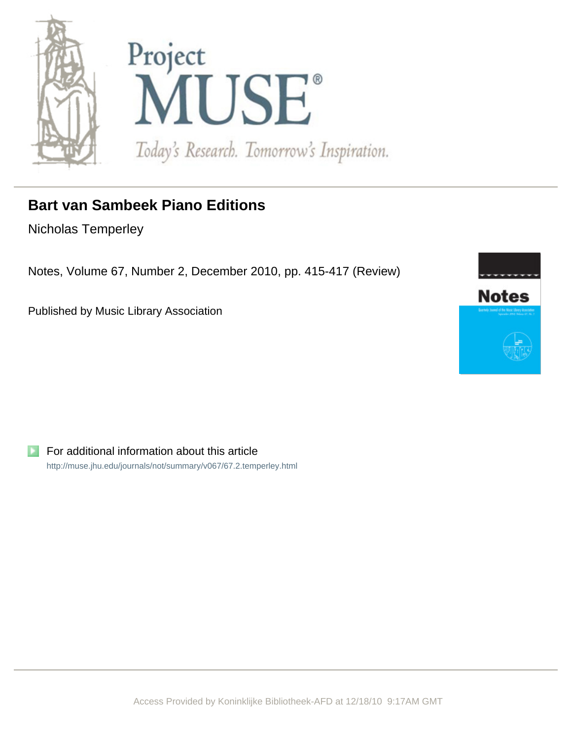



## **Bart van Sambeek Piano Editions**

Nicholas Temperley

Notes, Volume 67, Number 2, December 2010, pp. 415-417 (Review)

Published by Music Library Association



For additional information about this article <http://muse.jhu.edu/journals/not/summary/v067/67.2.temperley.html>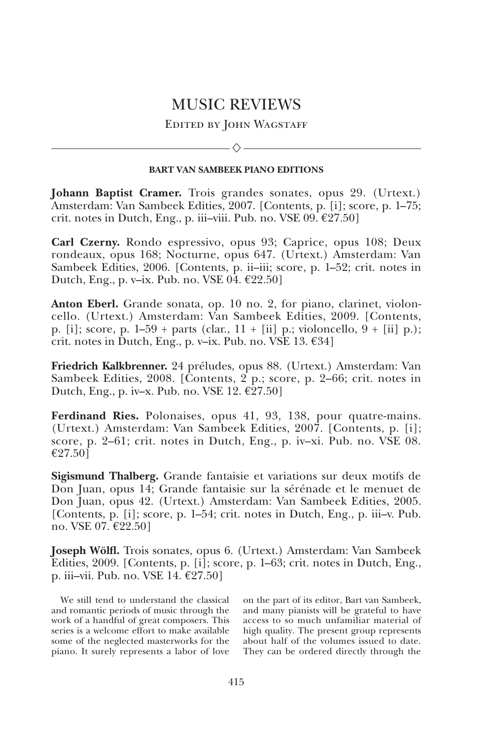## MUSIC REVIEWS

EDITED BY JOHN WAGSTAFF

 $\diamondsuit$ 

## **BART VAN SAMBEEK PIANO EDITIONS**

**Johann Baptist Cramer.** Trois grandes sonates, opus 29. (Urtext.) Amsterdam: Van Sambeek Edities, 2007. [Contents, p. [i]; score, p. 1–75; crit. notes in Dutch, Eng., p. iii–viii. Pub. no. VSE 09.  $\epsilon$ 27.50]

**Carl Czerny.** Rondo espressivo, opus 93; Caprice, opus 108; Deux rondeaux, opus 168; Nocturne, opus 647. (Urtext.) Amsterdam: Van Sambeek Edities, 2006. [Contents, p. ii–iii; score, p. 1–52; crit. notes in Dutch, Eng., p. v–ix. Pub. no. VSE  $\overline{04}$ .  $\epsilon$ 22.50]

Anton Eberl. Grande sonata, op. 10 no. 2, for piano, clarinet, violoncello. (Urtext.) Amsterdam: Van Sambeek Edities, 2009. [Contents, p. [i]; score, p. 1–59 + parts (clar., 11 + [ii] p.; violoncello, 9 + [ii] p.); crit. notes in Dutch, Eng., p. v–ix. Pub. no. VSE 13.  $£34]$ 

**Friedrich Kalkbrenner.** 24 préludes, opus 88. (Urtext.) Amsterdam: Van Sambeek Edities, 2008. [Contents,  $2$  p.; score, p. 2–66; crit. notes in Dutch, Eng., p. iv–x. Pub. no. VSE 12.  $\epsilon$ 27.50]

**Ferdinand Ries.** Polonaises, opus 41, 93, 138, pour quatre-mains. (Urtext.) Amsterdam: Van Sambeek Edities, 2007. [Contents, p. [i]; score, p. 2–61; crit. notes in Dutch, Eng., p. iv–xi. Pub. no. VSE 08. €27.50]

**Sigismund Thalberg.** Grande fantaisie et variations sur deux motifs de Don Juan, opus 14; Grande fantaisie sur la sérénade et le menuet de Don Juan, opus 42. (Urtext.) Amsterdam: Van Sambeek Edities, 2005. [Contents, p. [i]; score, p. 1–54; crit. notes in Dutch, Eng., p. iii–v. Pub. no. VSE 07. €22.50]

**Joseph Wölfl.** Trois sonates, opus 6. (Urtext.) Amsterdam: Van Sambeek Edities, 2009. [Contents, p. [i]; score, p. 1–63; crit. notes in Dutch, Eng., p. iii–vii. Pub. no. VSE 14.  $\epsilon$ 27.50]

We still tend to understand the classical and romantic periods of music through the work of a handful of great composers. This series is a welcome effort to make available some of the neglected masterworks for the piano. It surely represents a labor of love

on the part of its editor, Bart van Sambeek, and many pianists will be grateful to have access to so much unfamiliar material of high quality. The present group represents about half of the volumes issued to date. They can be ordered directly through the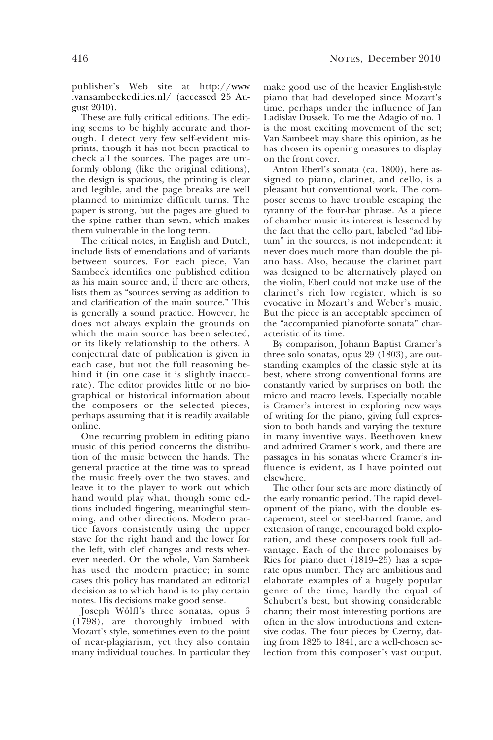publisher's Web site at http://www .vansambeekedities.nl/ (accessed 25 Au gust 2010).

These are fully critical editions. The editing seems to be highly accurate and thorough. I detect very few self-evident misprints, though it has not been practical to check all the sources. The pages are uniformly oblong (like the original editions), the design is spacious, the printing is clear and legible, and the page breaks are well planned to minimize difficult turns. The paper is strong, but the pages are glued to the spine rather than sewn, which makes them vulnerable in the long term.

The critical notes, in English and Dutch, include lists of emendations and of variants between sources. For each piece, Van Sambeek identifies one published edition as his main source and, if there are others, lists them as "sources serving as addition to and clarification of the main source." This is generally a sound practice. However, he does not always explain the grounds on which the main source has been selected, or its likely relationship to the others. A conjectural date of publication is given in each case, but not the full reasoning behind it (in one case it is slightly inaccurate). The editor provides little or no biographical or historical information about the composers or the selected pieces, perhaps assuming that it is readily available online.

One recurring problem in editing piano music of this period concerns the distribution of the music between the hands. The general practice at the time was to spread the music freely over the two staves, and leave it to the player to work out which hand would play what, though some editions included fingering, meaningful stemming, and other directions. Modern practice favors consistently using the upper stave for the right hand and the lower for the left, with clef changes and rests wherever needed. On the whole, Van Sambeek has used the modern practice; in some cases this policy has mandated an editorial decision as to which hand is to play certain notes. His decisions make good sense.

Joseph Wölfl's three sonatas, opus 6 (1798), are thoroughly imbued with Mozart's style, sometimes even to the point of near-plagiarism, yet they also contain many individual touches. In particular they make good use of the heavier English-style piano that had developed since Mozart's time, perhaps under the influence of Jan Ladislav Dussek. To me the Adagio of no. 1 is the most exciting movement of the set; Van Sambeek may share this opinion, as he has chosen its opening measures to display on the front cover.

Anton Eberl's sonata (ca. 1800), here assigned to piano, clarinet, and cello, is a pleasant but conventional work. The composer seems to have trouble escaping the tyranny of the four-bar phrase. As a piece of chamber music its interest is lessened by the fact that the cello part, labeled "ad libitum" in the sources, is not independent: it never does much more than double the piano bass. Also, because the clarinet part was designed to be alternatively played on the violin, Eberl could not make use of the clarinet's rich low register, which is so evocative in Mozart's and Weber's music. But the piece is an acceptable specimen of the "accompanied pianoforte sonata" characteristic of its time.

By comparison, Johann Baptist Cramer's three solo sonatas, opus 29 (1803), are outstanding examples of the classic style at its best, where strong conventional forms are constantly varied by surprises on both the micro and macro levels. Especially notable is Cramer's interest in exploring new ways of writing for the piano, giving full expression to both hands and varying the texture in many inventive ways. Beethoven knew and admired Cramer's work, and there are passages in his sonatas where Cramer's influence is evident, as I have pointed out elsewhere.

The other four sets are more distinctly of the early romantic period. The rapid development of the piano, with the double escapement, steel or steel-barred frame, and extension of range, encouraged bold exploration, and these composers took full advantage. Each of the three polonaises by Ries for piano duet (1819–25) has a separate opus number. They are ambitious and elaborate examples of a hugely popular genre of the time, hardly the equal of Schubert's best, but showing considerable charm; their most interesting portions are often in the slow introductions and extensive codas. The four pieces by Czerny, dating from 1825 to 1841, are a well-chosen selection from this composer's vast output.